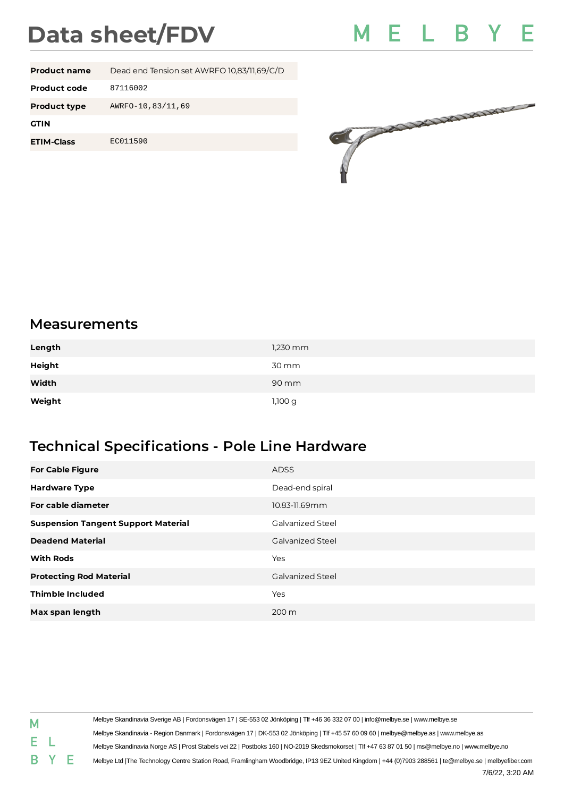## **Data sheet/FDV**



| <b>Product name</b> | Dead end Tension set AWRFO 10,83/11,69/C/D |
|---------------------|--------------------------------------------|
| Product code        | 87116002                                   |
| <b>Product type</b> | AWRF0-10,83/11,69                          |
| <b>GTIN</b>         |                                            |
| <b>ETIM-Class</b>   | EC011590                                   |
|                     |                                            |



## **Measurements**

| Length | $1,230$ mm |
|--------|------------|
| Height | 30 mm      |
| Width  | 90 mm      |
| Weight | 1,100 g    |

## **Technical Specifications - Pole Line Hardware**

| <b>For Cable Figure</b>                    | ADSS                    |
|--------------------------------------------|-------------------------|
| <b>Hardware Type</b>                       | Dead-end spiral         |
| For cable diameter                         | 10.83-11.69mm           |
| <b>Suspension Tangent Support Material</b> | Galvanized Steel        |
| <b>Deadend Material</b>                    | <b>Galvanized Steel</b> |
| <b>With Rods</b>                           | Yes                     |
| <b>Protecting Rod Material</b>             | <b>Galvanized Steel</b> |
| <b>Thimble Included</b>                    | Yes                     |
| Max span length                            | $200 \text{ m}$         |

| Μ  |     | Melbye Skandinavia Sverige AB   Fordonsvägen 17   SE-553 02 Jönköping   Tlf +46 36 332 07 00   info@melbye.se   www.melbye.se                         |
|----|-----|-------------------------------------------------------------------------------------------------------------------------------------------------------|
|    |     | Melbye Skandinavia - Region Danmark   Fordonsvägen 17   DK-553 02 Jönköping   Tlf +45 57 60 09 60   melbye@melbye.as   www.melbye.as                  |
| E. |     | Melbye Skandinavia Norge AS   Prost Stabels vei 22   Postboks 160   NO-2019 Skedsmokorset   Tlf +47 63 87 01 50   ms@melbye.no   www.melbye.no        |
|    | BYE | Melbye Ltd  The Technology Centre Station Road, Framlingham Woodbridge, IP13 9EZ United Kingdom   +44 (0)7903 288561   te@melbye.se   melbyefiber.com |
|    |     | 7/6/22, 3:20 AM                                                                                                                                       |